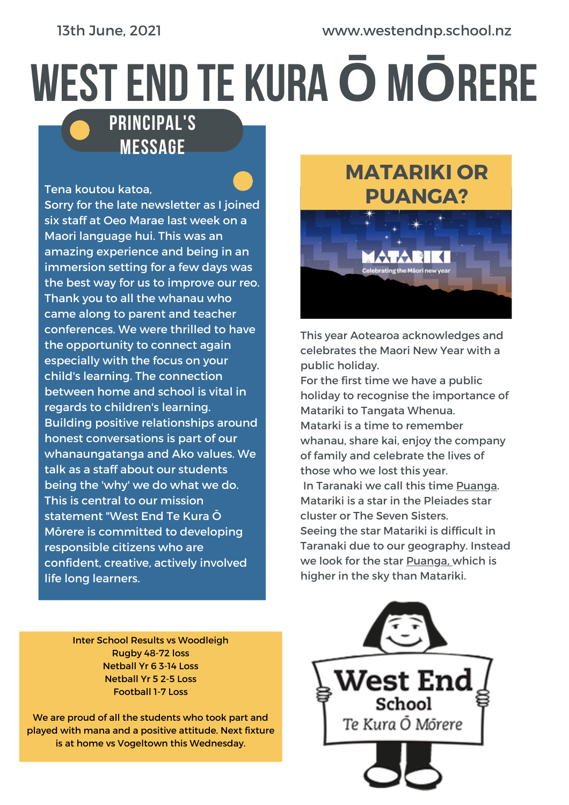# WESTEND TE KURA**Ō**M**Ō**RERE

#### PRINCIPAL'S **MESSAGE**

#### Tena koutou katoa,

Sorry for the late newsletter as I joined six staff at Oeo Marae last week on a Maori language hui. This was an amazing experience and being in an immersion setting for a few days was the best way for us to improve our reo. Thank you to all the whanau who came along to parent and teacher conferences. We were thrilled to have the opportunity to connect again especially with the focus on your child's learning. The connection between home and school is vital in regards to children's learning. Building positive relationships around honest conversations is part of our whanaungatanga and Ako values. We talk as a staff about our students being the 'why' we do what we do. This is central to our mission statement "West End Te Kura Ō Mōrere is committed to developing responsible citizens who are confident, creative, actively involved life long learners.

## **MATARIKI OR PUANGA?** .<br>Celebrating the Māori ne

This year Aotearoa acknowledges and celebrates the Maori New Year with a public holiday.

For the first time we have a public holiday to recognise the importance of Matariki to Tangata Whenua. Matarki is a time to remember whanau, share kai, enjoy the company of family and celebrate the lives of those who we lost this year. In Taranaki we call this time Puanga. Matariki is a star in the Pleiades star cluster or The Seven Sisters. Seeing the star Matariki is difficult in Taranaki due to our geography. Instead we look for the star Puanga, which is higher in the sky than Matariki.

Inter School Results vs Woodleigh Rugby 48-72 loss Netball Yr 6 3-14 Loss Netball Yr 5 2-5 Loss Football 1-7 Loss

We are proud of all the students who took part and played with mana and a positive attitude. Next fixture is at home vs Vogeltown this Wednesday.

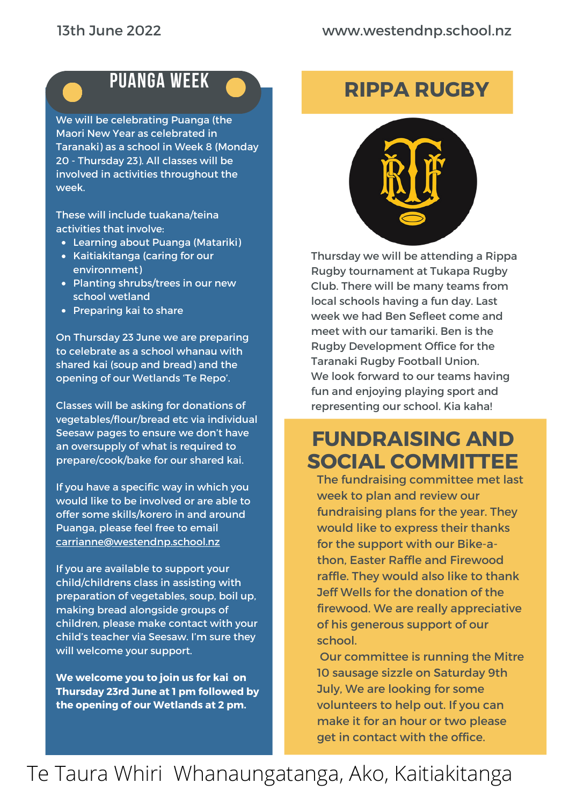## PUANGA WEEK

We will be celebrating Puanga (the Maori New Year as celebrated in Taranaki) as a school in Week 8 (Monday 20 - Thursday 23). All classes will be involved in activities throughout the week.

These will include tuakana/teina activities that involve:

- Learning about Puanga (Matariki)
- Kaitiakitanga (caring for our environment)
- Planting shrubs/trees in our new school wetland
- Preparing kai to share

On Thursday 23 June we are preparing to celebrate as a school whanau with shared kai (soup and bread) and the opening of our Wetlands 'Te Repo'.

Classes will be asking for donations of vegetables/flour/bread etc via individual Seesaw pages to ensure we don't have an oversupply of what is required to prepare/cook/bake for our shared kai.

If you have a specific way in which you would like to be involved or are able to offer some skills/korero in and around Puanga, please feel free to email [carrianne@westendnp.school.nz](mailto:carrianne@westendnp.school.nz)

If you are available to support your child/childrens class in assisting with preparation of vegetables, soup, boil up, making bread alongside groups of children, please make contact with your child's teacher via Seesaw. I'm sure they will welcome your support.

**We welcome you to join us for kai on Thursday 23rd June at 1 pm followed by the opening of our Wetlands at 2 pm.**

### **RIPPA RUGBY**



Thursday we will be attending a Rippa Rugby tournament at Tukapa Rugby Club. There will be many teams from local schools having a fun day. Last week we had Ben Sefleet come and meet with our tamariki. Ben is the Rugby Development Office for the Taranaki Rugby Football Union. We look forward to our teams having fun and enjoying playing sport and representing our school. Kia kaha!

#### **FUNDRAISING AND SOCIAL COMMITTEE**

The fundraising committee met last week to plan and review our fundraising plans for the year. They would like to express their thanks for the support with our Bike-athon, Easter Raffle and Firewood raffle. They would also like to thank Jeff Wells for the donation of the firewood. We are really appreciative of his generous support of our school.

Our committee is running the Mitre 10 sausage sizzle on Saturday 9th July, We are looking for some volunteers to help out. If you can make it for an hour or two please get in contact with the office.

## Te Taura Whiri Whanaungatanga, Ako, Kaitiakitanga